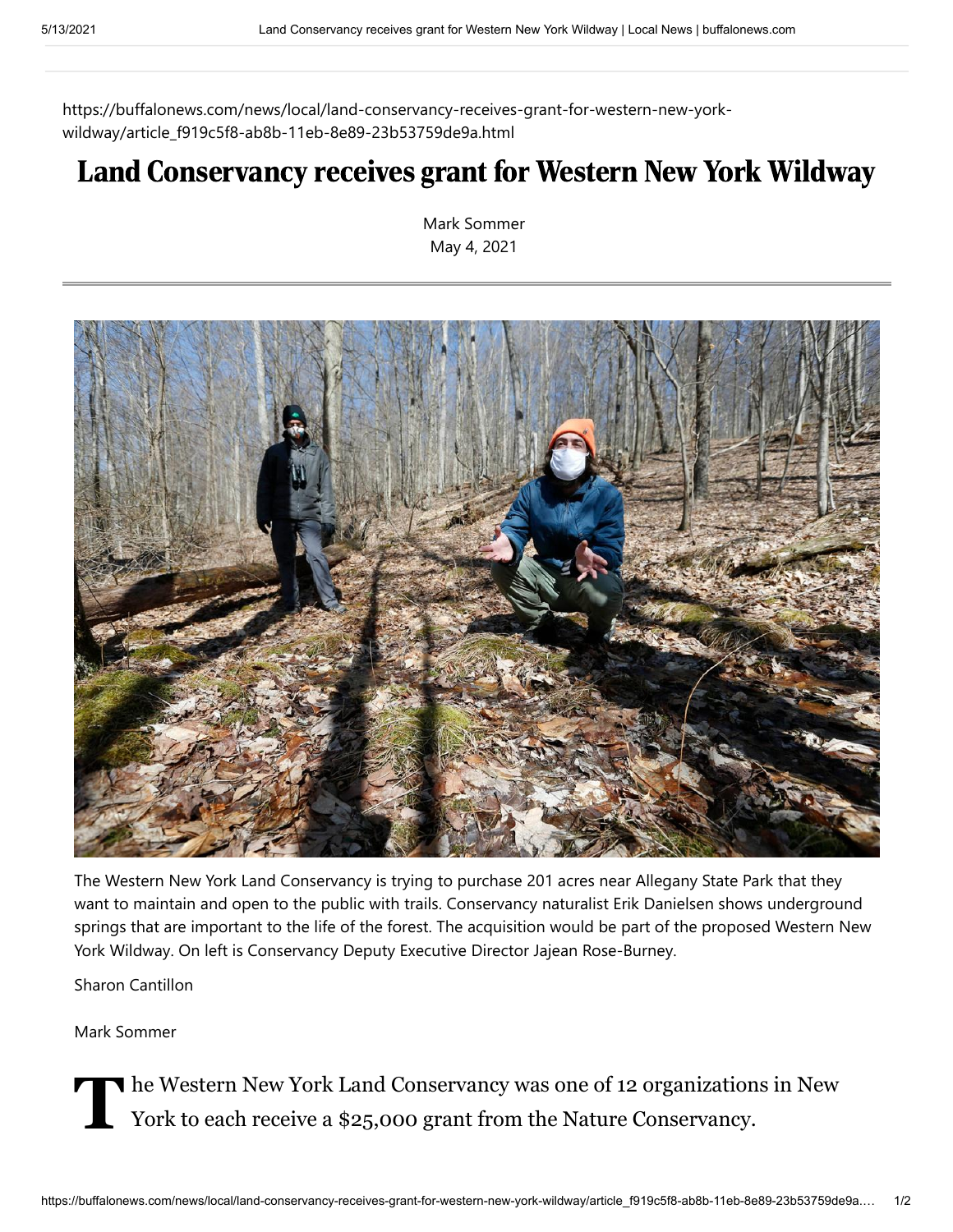https://buffalonews.com/news/local/land-conservancy-receives-grant-for-western-new-yorkwildway/article\_f919c5f8-ab8b-11eb-8e89-23b53759de9a.html

## Land Conservancy receives grant for Western New York Wildway

[Mark Sommer](https://buffalonews.com/users/profile/Mark%20Sommer) May 4, 2021



The Western New York Land Conservancy is trying to purchase 201 acres near Allegany State Park that they want to maintain and open to the public with trails. Conservancy naturalist Erik Danielsen shows underground springs that are important to the life of the forest. The acquisition would be part of the proposed Western New York Wildway. On left is Conservancy Deputy Executive Director Jajean Rose-Burney.

Sharon Cantillon

[Mark Sommer](https://buffalonews.com/users/profile/Mark%20Sommer)

The Western New York Land Conservancy was one of 12 organizations in New York to each receive a \$25,000 grant from the Nature Conservancy. York to each receive a \$25,000 grant from the Nature Conservancy.